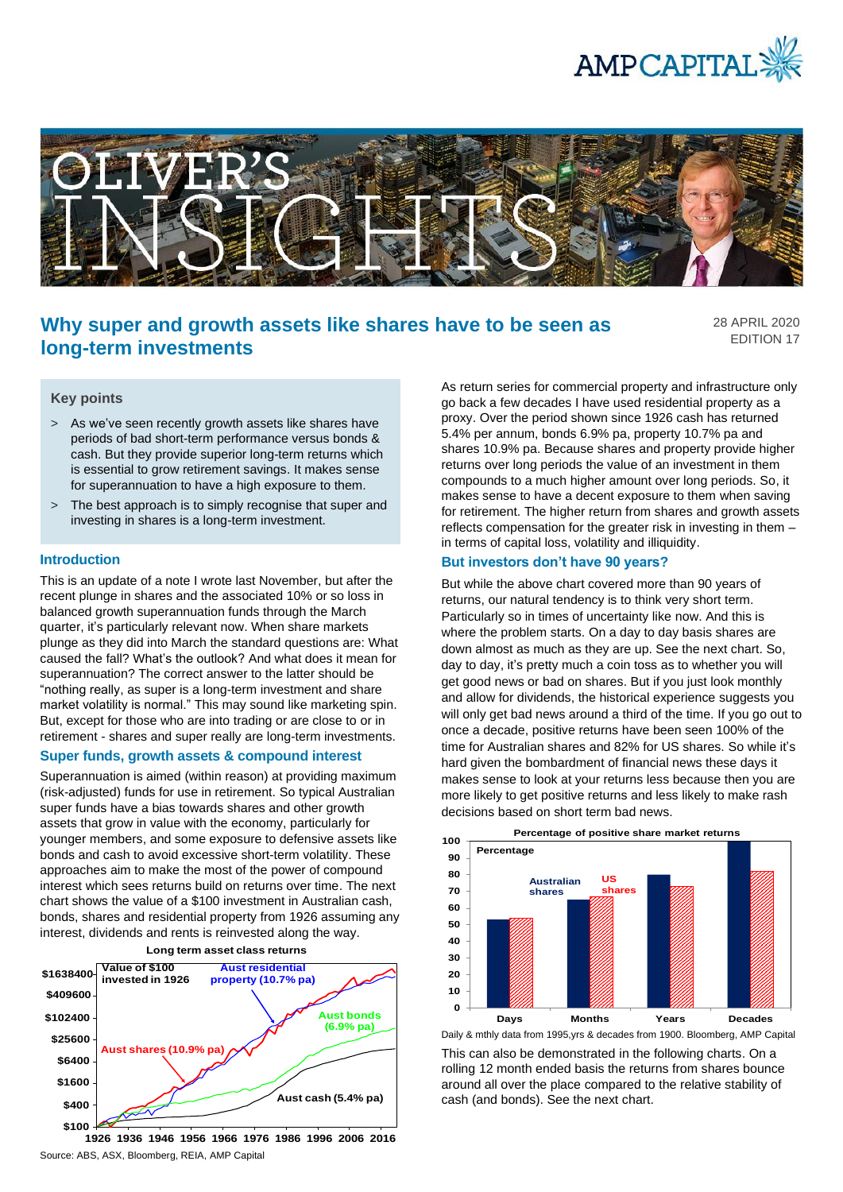



# **Why super and growth assets like shares have to be seen as long-term investments**

28 APRIL 2020 EDITION 17

# **Key points**

- > As we've seen recently growth assets like shares have periods of bad short-term performance versus bonds & cash. But they provide superior long-term returns which is essential to grow retirement savings. It makes sense for superannuation to have a high exposure to them.
- > The best approach is to simply recognise that super and investing in shares is a long-term investment.

#### **Introduction**

This is an update of a note I wrote last November, but after the recent plunge in shares and the associated 10% or so loss in balanced growth superannuation funds through the March quarter, it's particularly relevant now. When share markets plunge as they did into March the standard questions are: What caused the fall? What's the outlook? And what does it mean for superannuation? The correct answer to the latter should be "nothing really, as super is a long-term investment and share market volatility is normal." This may sound like marketing spin. But, except for those who are into trading or are close to or in retirement - shares and super really are long-term investments.

#### **Super funds, growth assets & compound interest**

Superannuation is aimed (within reason) at providing maximum (risk-adjusted) funds for use in retirement. So typical Australian super funds have a bias towards shares and other growth assets that grow in value with the economy, particularly for younger members, and some exposure to defensive assets like bonds and cash to avoid excessive short-term volatility. These approaches aim to make the most of the power of compound interest which sees returns build on returns over time. The next chart shows the value of a \$100 investment in Australian cash, bonds, shares and residential property from 1926 assuming any interest, dividends and rents is reinvested along the way.



Source: ABS, ASX, Bloomberg, REIA, AMP Capital

As return series for commercial property and infrastructure only go back a few decades I have used residential property as a proxy. Over the period shown since 1926 cash has returned 5.4% per annum, bonds 6.9% pa, property 10.7% pa and shares 10.9% pa. Because shares and property provide higher returns over long periods the value of an investment in them compounds to a much higher amount over long periods. So, it makes sense to have a decent exposure to them when saving for retirement. The higher return from shares and growth assets reflects compensation for the greater risk in investing in them – in terms of capital loss, volatility and illiquidity.

### **But investors don't have 90 years?**

But while the above chart covered more than 90 years of returns, our natural tendency is to think very short term. Particularly so in times of uncertainty like now. And this is where the problem starts. On a day to day basis shares are down almost as much as they are up. See the next chart. So, day to day, it's pretty much a coin toss as to whether you will get good news or bad on shares. But if you just look monthly and allow for dividends, the historical experience suggests you will only get bad news around a third of the time. If you go out to once a decade, positive returns have been seen 100% of the time for Australian shares and 82% for US shares. So while it's hard given the bombardment of financial news these days it makes sense to look at your returns less because then you are more likely to get positive returns and less likely to make rash decisions based on short term bad news.



This can also be demonstrated in the following charts. On a rolling 12 month ended basis the returns from shares bounce around all over the place compared to the relative stability of cash (and bonds). See the next chart.